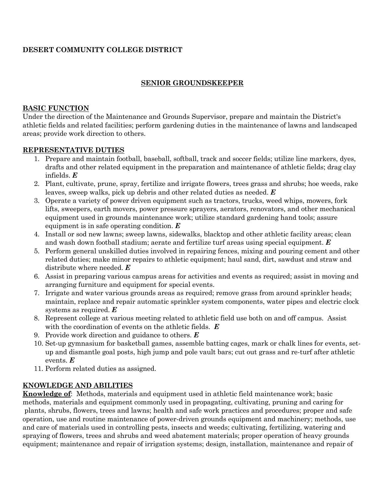# **DESERT COMMUNITY COLLEGE DISTRICT**

## **SENIOR GROUNDSKEEPER**

### **BASIC FUNCTION**

Under the direction of the Maintenance and Grounds Supervisor, prepare and maintain the District's athletic fields and related facilities; perform gardening duties in the maintenance of lawns and landscaped areas; provide work direction to others.

### **REPRESENTATIVE DUTIES**

- 1. Prepare and maintain football, baseball, softball, track and soccer fields; utilize line markers, dyes, drafts and other related equipment in the preparation and maintenance of athletic fields; drag clay infields. *E*
- 2. Plant, cultivate, prune, spray, fertilize and irrigate flowers, trees grass and shrubs; hoe weeds, rake leaves, sweep walks, pick up debris and other related duties as needed. *E*
- 3. Operate a variety of power driven equipment such as tractors, trucks, weed whips, mowers, fork lifts, sweepers, earth movers, power pressure sprayers, aerators, renovators, and other mechanical equipment used in grounds maintenance work; utilize standard gardening hand tools; assure equipment is in safe operating condition. *E*
- 4. Install or sod new lawns; sweep lawns, sidewalks, blacktop and other athletic facility areas; clean and wash down football stadium; aerate and fertilize turf areas using special equipment. *E*
- 5. Perform general unskilled duties involved in repairing fences, mixing and pouring cement and other related duties; make minor repairs to athletic equipment; haul sand, dirt, sawdust and straw and distribute where needed. *E*
- 6. Assist in preparing various campus areas for activities and events as required; assist in moving and arranging furniture and equipment for special events.
- 7. Irrigate and water various grounds areas as required; remove grass from around sprinkler heads; maintain, replace and repair automatic sprinkler system components, water pipes and electric clock systems as required. *E*
- 8. Represent college at various meeting related to athletic field use both on and off campus. Assist with the coordination of events on the athletic fields. *E*
- 9. Provide work direction and guidance to others. *E*
- 10. Set-up gymnasium for basketball games, assemble batting cages, mark or chalk lines for events, setup and dismantle goal posts, high jump and pole vault bars; cut out grass and re-turf after athletic events. *E*
- 11. Perform related duties as assigned.

## **KNOWLEDGE AND ABILITIES**

**Knowledge of**: Methods, materials and equipment used in athletic field maintenance work; basic methods, materials and equipment commonly used in propagating, cultivating, pruning and caring for plants, shrubs, flowers, trees and lawns; health and safe work practices and procedures; proper and safe operation, use and routine maintenance of power-driven grounds equipment and machinery; methods, use and care of materials used in controlling pests, insects and weeds; cultivating, fertilizing, watering and spraying of flowers, trees and shrubs and weed abatement materials; proper operation of heavy grounds equipment; maintenance and repair of irrigation systems; design, installation, maintenance and repair of